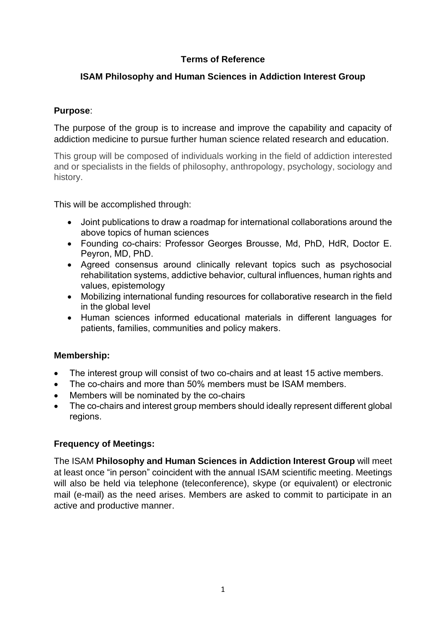# **Terms of Reference**

# **ISAM Philosophy and Human Sciences in Addiction Interest Group**

## **Purpose**:

The purpose of the group is to increase and improve the capability and capacity of addiction medicine to pursue further human science related research and education.

This group will be composed of individuals working in the field of addiction interested and or specialists in the fields of philosophy, anthropology, psychology, sociology and history.

This will be accomplished through:

- Joint publications to draw a roadmap for international collaborations around the above topics of human sciences
- Founding co-chairs: Professor Georges Brousse, Md, PhD, HdR, Doctor E. Peyron, MD, PhD.
- Agreed consensus around clinically relevant topics such as psychosocial rehabilitation systems, addictive behavior, cultural influences, human rights and values, epistemology
- Mobilizing international funding resources for collaborative research in the field in the global level
- Human sciences informed educational materials in different languages for patients, families, communities and policy makers.

### **Membership:**

- The interest group will consist of two co-chairs and at least 15 active members.
- The co-chairs and more than 50% members must be ISAM members.
- Members will be nominated by the co-chairs
- The co-chairs and interest group members should ideally represent different global regions.

### **Frequency of Meetings:**

The ISAM **Philosophy and Human Sciences in Addiction Interest Group** will meet at least once "in person" coincident with the annual ISAM scientific meeting. Meetings will also be held via telephone (teleconference), skype (or equivalent) or electronic mail (e-mail) as the need arises. Members are asked to commit to participate in an active and productive manner.